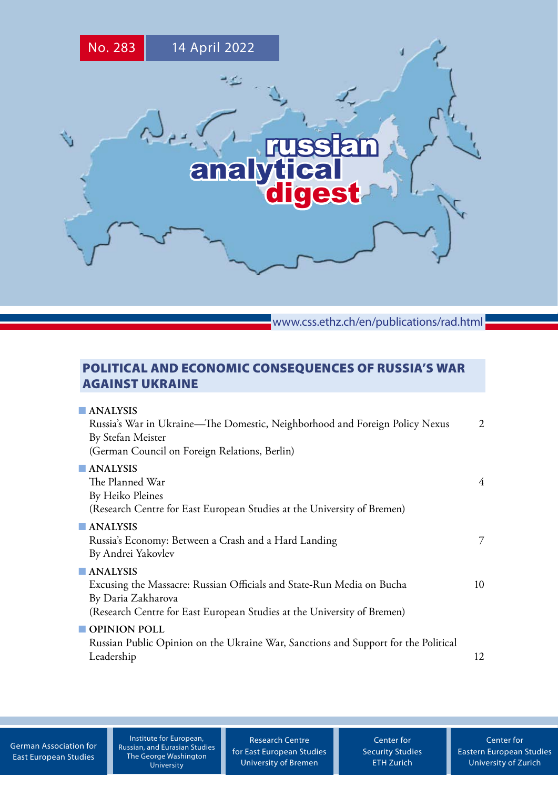

www.css.ethz.ch/en/publications/rad.html

# POLITICAL AND ECONOMIC CONSEQUENCES OF RUSSIA'S WAR AGAINST UKRAINE

| $\blacksquare$ ANALYSIS                                                            |    |
|------------------------------------------------------------------------------------|----|
| Russia's War in Ukraine—The Domestic, Neighborhood and Foreign Policy Nexus        | 2  |
| By Stefan Meister                                                                  |    |
| (German Council on Foreign Relations, Berlin)                                      |    |
| $\blacksquare$ ANALYSIS                                                            |    |
| The Planned War                                                                    | 4  |
| By Heiko Pleines                                                                   |    |
| (Research Centre for East European Studies at the University of Bremen)            |    |
| $\blacksquare$ ANALYSIS                                                            |    |
| Russia's Economy: Between a Crash and a Hard Landing                               | 7  |
| By Andrei Yakovlev                                                                 |    |
| $\blacksquare$ ANALYSIS                                                            |    |
| Excusing the Massacre: Russian Officials and State-Run Media on Bucha              | 10 |
| By Daria Zakharova                                                                 |    |
| (Research Centre for East European Studies at the University of Bremen)            |    |
| OPINION POLL                                                                       |    |
| Russian Public Opinion on the Ukraine War, Sanctions and Support for the Political |    |
| Leadership                                                                         | 12 |
|                                                                                    |    |

[German Association for](http://www.dgo-online.org/) [East European Studies](http://www.dgo-online.org/)

Institute for European, [Russian, and Eurasian Studies](https://ieres.elliott.gwu.edu) The George Washington University

[Research Centre](http://www.forschungsstelle.uni-bremen.de/) [for East European Studies](http://www.forschungsstelle.uni-bremen.de/) [University of Bremen](http://www.forschungsstelle.uni-bremen.de/)

[Center for](http://www.css.ethz.ch/) [Security Studies](http://www.css.ethz.ch/) [ETH Zurich](http://www.css.ethz.ch/)

[Center for](http://www.cees.uzh.ch/) [Eastern European Studies](http://www.cees.uzh.ch/) [University of Zurich](http://www.cees.uzh.ch/)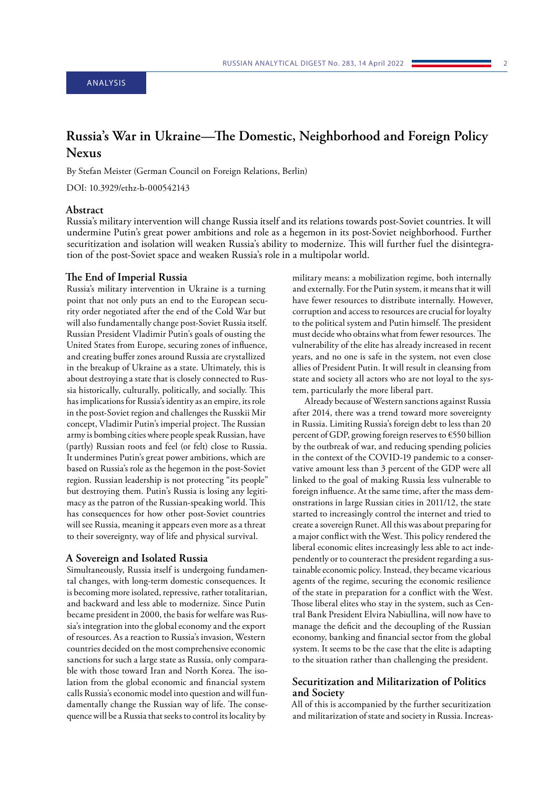## <span id="page-1-0"></span>ANALYSIS

# **Russia's War in Ukraine—The Domestic, Neighborhood and Foreign Policy Nexus**

By Stefan Meister (German Council on Foreign Relations, Berlin)

DOI: 10.3929/ethz-b-000542143

## **Abstract**

Russia's military intervention will change Russia itself and its relations towards post-Soviet countries. It will undermine Putin's great power ambitions and role as a hegemon in its post-Soviet neighborhood. Further securitization and isolation will weaken Russia's ability to modernize. This will further fuel the disintegration of the post-Soviet space and weaken Russia's role in a multipolar world.

#### **The End of Imperial Russia**

Russia's military intervention in Ukraine is a turning point that not only puts an end to the European security order negotiated after the end of the Cold War but will also fundamentally change post-Soviet Russia itself. Russian President Vladimir Putin's goals of ousting the United States from Europe, securing zones of influence, and creating buffer zones around Russia are crystallized in the breakup of Ukraine as a state. Ultimately, this is about destroying a state that is closely connected to Russia historically, culturally, politically, and socially. This has implications for Russia's identity as an empire, its role in the post-Soviet region and challenges the Russkii Mir concept, Vladimir Putin's imperial project. The Russian army is bombing cities where people speak Russian, have (partly) Russian roots and feel (or felt) close to Russia. It undermines Putin's great power ambitions, which are based on Russia's role as the hegemon in the post-Soviet region. Russian leadership is not protecting "its people" but destroying them. Putin's Russia is losing any legitimacy as the patron of the Russian-speaking world. This has consequences for how other post-Soviet countries will see Russia, meaning it appears even more as a threat to their sovereignty, way of life and physical survival.

#### **A Sovereign and Isolated Russia**

Simultaneously, Russia itself is undergoing fundamental changes, with long-term domestic consequences. It is becoming more isolated, repressive, rather totalitarian, and backward and less able to modernize. Since Putin became president in 2000, the basis for welfare was Russia's integration into the global economy and the export of resources. As a reaction to Russia's invasion, Western countries decided on the most comprehensive economic sanctions for such a large state as Russia, only comparable with those toward Iran and North Korea. The isolation from the global economic and financial system calls Russia's economic model into question and will fundamentally change the Russian way of life. The consequence will be a Russia that seeks to control its locality by

military means: a mobilization regime, both internally and externally. For the Putin system, it means that it will have fewer resources to distribute internally. However, corruption and access to resources are crucial for loyalty to the political system and Putin himself. The president must decide who obtains what from fewer resources. The vulnerability of the elite has already increased in recent years, and no one is safe in the system, not even close allies of President Putin. It will result in cleansing from state and society all actors who are not loyal to the system, particularly the more liberal part.

Already because of Western sanctions against Russia after 2014, there was a trend toward more sovereignty in Russia. Limiting Russia's foreign debt to less than 20 percent of GDP, growing foreign reserves to €550 billion by the outbreak of war, and reducing spending policies in the context of the COVID-19 pandemic to a conservative amount less than 3 percent of the GDP were all linked to the goal of making Russia less vulnerable to foreign influence. At the same time, after the mass demonstrations in large Russian cities in 2011/12, the state started to increasingly control the internet and tried to create a sovereign Runet. All this was about preparing for a major conflict with the West. This policy rendered the liberal economic elites increasingly less able to act independently or to counteract the president regarding a sustainable economic policy. Instead, they became vicarious agents of the regime, securing the economic resilience of the state in preparation for a conflict with the West. Those liberal elites who stay in the system, such as Central Bank President Elvira Nabiullina, will now have to manage the deficit and the decoupling of the Russian economy, banking and financial sector from the global system. It seems to be the case that the elite is adapting to the situation rather than challenging the president.

## **Securitization and Militarization of Politics and Society**

All of this is accompanied by the further securitization and militarization of state and society in Russia. Increas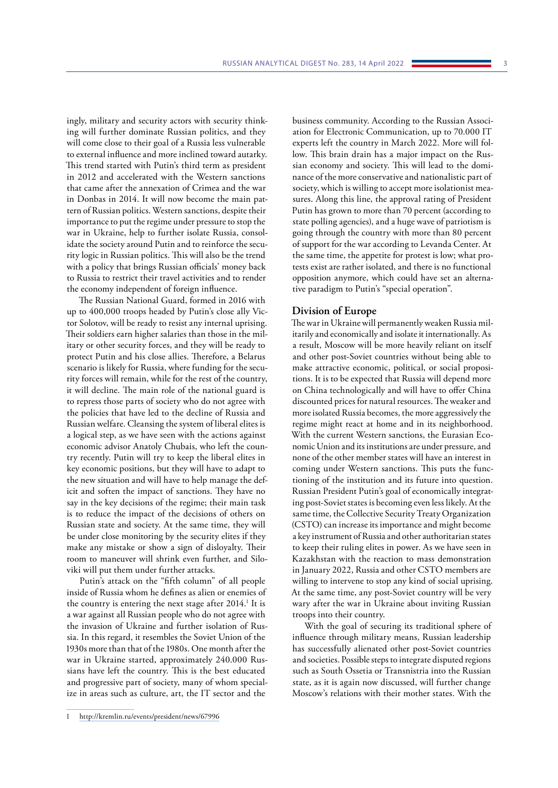ingly, military and security actors with security thinking will further dominate Russian politics, and they will come close to their goal of a Russia less vulnerable to external influence and more inclined toward autarky. This trend started with Putin's third term as president in 2012 and accelerated with the Western sanctions that came after the annexation of Crimea and the war in Donbas in 2014. It will now become the main pattern of Russian politics. Western sanctions, despite their importance to put the regime under pressure to stop the war in Ukraine, help to further isolate Russia, consolidate the society around Putin and to reinforce the security logic in Russian politics. This will also be the trend with a policy that brings Russian officials' money back to Russia to restrict their travel activities and to render the economy independent of foreign influence.

The Russian National Guard, formed in 2016 with up to 400,000 troops headed by Putin's close ally Victor Solotov, will be ready to resist any internal uprising. Their soldiers earn higher salaries than those in the military or other security forces, and they will be ready to protect Putin and his close allies. Therefore, a Belarus scenario is likely for Russia, where funding for the security forces will remain, while for the rest of the country, it will decline. The main role of the national guard is to repress those parts of society who do not agree with the policies that have led to the decline of Russia and Russian welfare. Cleansing the system of liberal elites is a logical step, as we have seen with the actions against economic advisor Anatoly Chubais, who left the country recently. Putin will try to keep the liberal elites in key economic positions, but they will have to adapt to the new situation and will have to help manage the deficit and soften the impact of sanctions. They have no say in the key decisions of the regime; their main task is to reduce the impact of the decisions of others on Russian state and society. At the same time, they will be under close monitoring by the security elites if they make any mistake or show a sign of disloyalty. Their room to maneuver will shrink even further, and Siloviki will put them under further attacks.

Putin's attack on the "fifth column" of all people inside of Russia whom he defines as alien or enemies of the country is entering the next stage after 2014.<sup>1</sup> It is a war against all Russian people who do not agree with the invasion of Ukraine and further isolation of Russia. In this regard, it resembles the Soviet Union of the 1930s more than that of the 1980s. One month after the war in Ukraine started, approximately 240.000 Russians have left the country. This is the best educated and progressive part of society, many of whom specialize in areas such as culture, art, the IT sector and the

business community. According to the Russian Association for Electronic Communication, up to 70.000 IT experts left the country in March 2022. More will follow. This brain drain has a major impact on the Russian economy and society. This will lead to the dominance of the more conservative and nationalistic part of society, which is willing to accept more isolationist measures. Along this line, the approval rating of President Putin has grown to more than 70 percent (according to state polling agencies), and a huge wave of patriotism is going through the country with more than 80 percent of support for the war according to Levanda Center. At the same time, the appetite for protest is low; what protests exist are rather isolated, and there is no functional opposition anymore, which could have set an alternative paradigm to Putin's "special operation".

## **Division of Europe**

The war in Ukraine will permanently weaken Russia militarily and economically and isolate it internationally. As a result, Moscow will be more heavily reliant on itself and other post-Soviet countries without being able to make attractive economic, political, or social propositions. It is to be expected that Russia will depend more on China technologically and will have to offer China discounted prices for natural resources. The weaker and more isolated Russia becomes, the more aggressively the regime might react at home and in its neighborhood. With the current Western sanctions, the Eurasian Economic Union and its institutions are under pressure, and none of the other member states will have an interest in coming under Western sanctions. This puts the functioning of the institution and its future into question. Russian President Putin's goal of economically integrating post-Soviet states is becoming even less likely. At the same time, the Collective Security Treaty Organization (CSTO) can increase its importance and might become a key instrument of Russia and other authoritarian states to keep their ruling elites in power. As we have seen in Kazakhstan with the reaction to mass demonstration in January 2022, Russia and other CSTO members are willing to intervene to stop any kind of social uprising. At the same time, any post-Soviet country will be very wary after the war in Ukraine about inviting Russian troops into their country.

With the goal of securing its traditional sphere of influence through military means, Russian leadership has successfully alienated other post-Soviet countries and societies. Possible steps to integrate disputed regions such as South Ossetia or Transnistria into the Russian state, as it is again now discussed, will further change Moscow's relations with their mother states. With the

<sup>1</sup> <http://kremlin.ru/events/president/news/67996>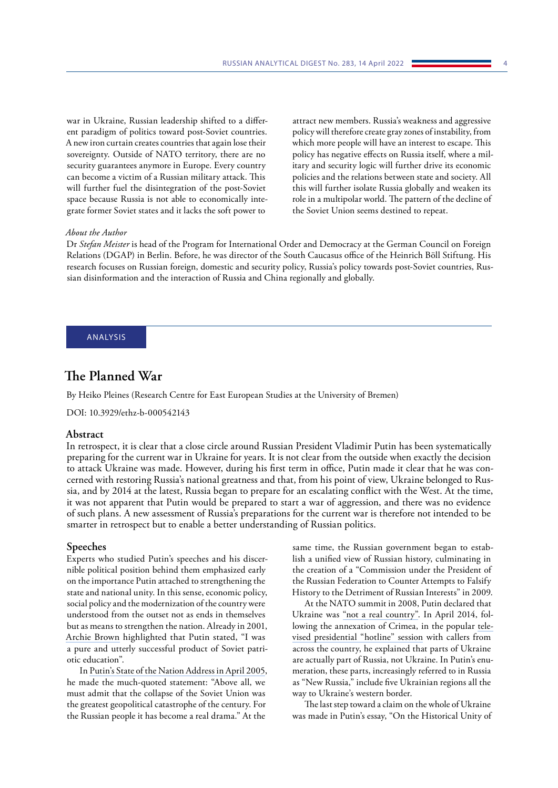<span id="page-3-0"></span>war in Ukraine, Russian leadership shifted to a different paradigm of politics toward post-Soviet countries. A new iron curtain creates countries that again lose their sovereignty. Outside of NATO territory, there are no security guarantees anymore in Europe. Every country can become a victim of a Russian military attack. This will further fuel the disintegration of the post-Soviet space because Russia is not able to economically integrate former Soviet states and it lacks the soft power to

attract new members. Russia's weakness and aggressive policy will therefore create gray zones of instability, from which more people will have an interest to escape. This policy has negative effects on Russia itself, where a military and security logic will further drive its economic policies and the relations between state and society. All this will further isolate Russia globally and weaken its role in a multipolar world. The pattern of the decline of the Soviet Union seems destined to repeat.

#### *About the Author*

Dr *Stefan Meister* is head of the Program for International Order and Democracy at the German Council on Foreign Relations (DGAP) in Berlin. Before, he was director of the South Caucasus office of the Heinrich Böll Stiftung. His research focuses on Russian foreign, domestic and security policy, Russia's policy towards post-Soviet countries, Russian disinformation and the interaction of Russia and China regionally and globally.

## ANALYSIS

## **The Planned War**

By Heiko Pleines (Research Centre for East European Studies at the University of Bremen)

DOI: 10.3929/ethz-b-000542143

## **Abstract**

In retrospect, it is clear that a close circle around Russian President Vladimir Putin has been systematically preparing for the current war in Ukraine for years. It is not clear from the outside when exactly the decision to attack Ukraine was made. However, during his first term in office, Putin made it clear that he was concerned with restoring Russia's national greatness and that, from his point of view, Ukraine belonged to Russia, and by 2014 at the latest, Russia began to prepare for an escalating conflict with the West. At the time, it was not apparent that Putin would be prepared to start a war of aggression, and there was no evidence of such plans. A new assessment of Russia's preparations for the current war is therefore not intended to be smarter in retrospect but to enable a better understanding of Russian politics.

#### **Speeches**

Experts who studied Putin's speeches and his discernible political position behind them emphasized early on the importance Putin attached to strengthening the state and national unity. In this sense, economic policy, social policy and the modernization of the country were understood from the outset not as ends in themselves but as means to strengthen the nation. Already in 2001, [Archie Brown](https://www.tandfonline.com/doi/abs/10.1080/1060586X.2001.10641494?journalCode=rpsa20) highlighted that Putin stated, "I was a pure and utterly successful product of Soviet patriotic education".

In [Putin's State of the Nation Address in April 2005,](http://www.kremlin.ru/events/president/transcripts/22931) he made the much-quoted statement: "Above all, we must admit that the collapse of the Soviet Union was the greatest geopolitical catastrophe of the century. For the Russian people it has become a real drama." At the

same time, the Russian government began to establish a unified view of Russian history, culminating in the creation of a "Commission under the President of the Russian Federation to Counter Attempts to Falsify History to the Detriment of Russian Interests" in 2009.

At the NATO summit in 2008, Putin declared that Ukraine was "not a [real country".](https://www.theguardian.com/world/2021/dec/27/ukraine-crisis-how-putin-feeds-off-anger-over-nato-eastward-expansion) In April 2014, following the annexation of Crimea, in the popular [tele](http://eng.kremlin.ru/news/7034)[vised presidential "hotline" session](http://eng.kremlin.ru/news/7034) with callers from across the country, he explained that parts of Ukraine are actually part of Russia, not Ukraine. In Putin's enumeration, these parts, increasingly referred to in Russia as "New Russia," include five Ukrainian regions all the way to Ukraine's western border.

The last step toward a claim on the whole of Ukraine was made in Putin's essay, "On the Historical Unity of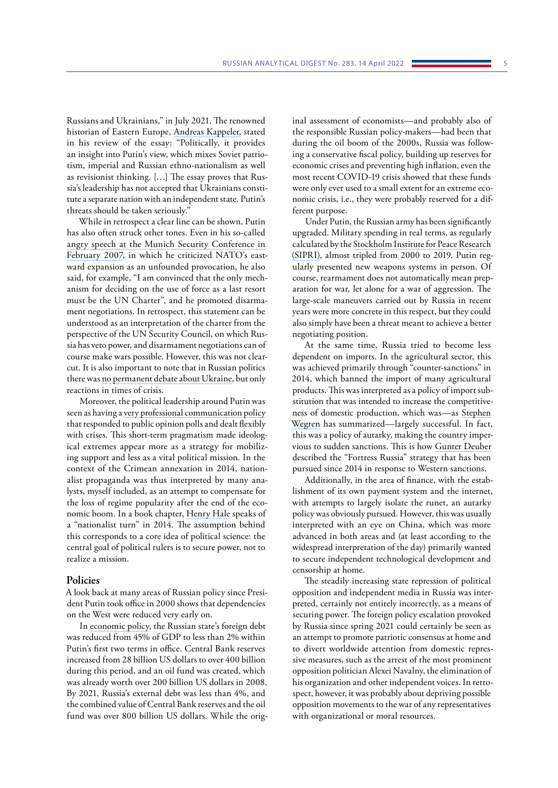Russians and Ukrainians," in July 2021. The renowned historian of Eastern Europe, [Andreas Kappeler,](https://zeitschrift-osteuropa.de/hefte/2021/7/revisionismus-und-drohungen/) stated in his review of the essay: "Politically, it provides an insight into Putin's view, which mixes Soviet patriotism, imperial and Russian ethno-nationalism as well as revisionist thinking. […] The essay proves that Russia's leadership has not accepted that Ukrainians constitute a separate nation with an independent state. Putin's threats should be taken seriously."

While in retrospect a clear line can be shown, Putin has also often struck other tones. Even in his so-called [angry speech at the Munich Security Conference in](http://www.kremlin.ru/events/president/transcripts/24034)  [February 2007,](http://www.kremlin.ru/events/president/transcripts/24034) in which he criticized NATO's eastward expansion as an unfounded provocation, he also said, for example, "I am convinced that the only mechanism for deciding on the use of force as a last resort must be the UN Charter", and he promoted disarmament negotiations. In retrospect, this statement can be understood as an interpretation of the charter from the perspective of the UN Security Council, on which Russia has veto power, and disarmament negotiations can of course make wars possible. However, this was not clearcut. It is also important to note that in Russian politics there was [no permanent debate about Ukraine](https://www.laender-analysen.de/russland-analysen/413/die-ukraine-in-der-rhetorik-russischer-praesidenten-und-der-staatsduma/), but only reactions in times of crisis.

Moreover, the political leadership around Putin was seen as having a [very professional communication policy](https://journals.sagepub.com/doi/10.1177/0010414021989759) that responded to public opinion polls and dealt flexibly with crises. This short-term pragmatism made ideological extremes appear more as a strategy for mobilizing support and less as a vital political mission. In the context of the Crimean annexation in 2014, nationalist propaganda was thus interpreted by many analysts, myself included, as an attempt to compensate for the loss of regime popularity after the end of the economic boom. In a book chapter, [Henry Hale](https://library.oapen.org/bitstream/handle/20.500.12657/30059/650041.pdf?sequence#page=242) speaks of a "nationalist turn" in 2014. The assumption behind this corresponds to a core idea of political science: the central goal of political rulers is to secure power, not to realize a mission.

#### **Policies**

A look back at many areas of Russian policy since President Putin took office in 2000 shows that dependencies on the West were reduced very early on.

In [economic policy](https://www.bofit.fi/en/monitoring/statistics/russia-statistics/), the Russian state's foreign debt was reduced from 45% of GDP to less than 2% within Putin's first two terms in office. Central Bank reserves increased from 28 billion US dollars to over 400 billion during this period, and an oil fund was created, which was already worth over 200 billion US dollars in 2008. By 2021, Russia's external debt was less than 4%, and the combined value of Central Bank reserves and the oil fund was over 800 billion US dollars. While the original assessment of economists—and probably also of the responsible Russian policy-makers—had been that during the oil boom of the 2000s, Russia was following a conservative fiscal policy, building up reserves for economic crises and preventing high inflation, even the most recent COVID-19 crisis showed that these funds were only ever used to a small extent for an extreme economic crisis, i.e., they were probably reserved for a different purpose.

Under Putin, the Russian army has been significantly upgraded. Military spending in real terms, as regularly calculated by the [Stockholm Institute for Peace Research](https://www.sipri.org/commentary/topical-backgrounder/2020/russias-military-spending-frequently-asked-questions)  [\(SIPRI\)](https://www.sipri.org/commentary/topical-backgrounder/2020/russias-military-spending-frequently-asked-questions), almost tripled from 2000 to 2019. Putin regularly presented new weapons systems in person. Of course, rearmament does not automatically mean preparation for war, let alone for a war of aggression. The large-scale maneuvers carried out by Russia in recent years were more concrete in this respect, but they could also simply have been a threat meant to achieve a better negotiating position.

At the same time, Russia tried to become less dependent on imports. In the agricultural sector, this was achieved primarily through "counter-sanctions" in 2014, which banned the import of many agricultural products. This was interpreted as a policy of import substitution that was intended to increase the competitiveness of domestic production, which was—as [Stephen](https://css.ethz.ch/en/publications/rad/rad-all-issues/details.html?id=%2Fn%2Fo%2F2%2F6%2Fno_268_the_state_of_the_russian_economy)  [Wegren](https://css.ethz.ch/en/publications/rad/rad-all-issues/details.html?id=%2Fn%2Fo%2F2%2F6%2Fno_268_the_state_of_the_russian_economy) has summarized—largely successful. In fact, this was a policy of autarky, making the country impervious to sudden sanctions. This is how [Gunter Deuber](https://css.ethz.ch/en/publications/rad/rad-all-issues/details.html?id=%2Fn%2Fo%2F2%2F6%2Fno_268_the_state_of_the_russian_economy) described the "Fortress Russia" strategy that has been pursued since 2014 in response to Western sanctions.

Additionally, in the area of finance, with the establishment of its own payment system and the internet, with attempts to largely isolate the runet, an autarky policy was obviously pursued. However, this was usually interpreted with an eye on China, which was more advanced in both areas and (at least according to the widespread interpretation of the day) primarily wanted to secure independent technological development and censorship at home.

The steadily increasing state repression of political opposition and independent media in Russia was interpreted, certainly not entirely incorrectly, as a means of securing power. The foreign policy escalation provoked by Russia since spring 2021 could certainly be seen as an attempt to promote patriotic consensus at home and to divert worldwide attention from domestic repressive measures, such as the arrest of the most prominent opposition politician Alexei Navalny, the elimination of his organization and other independent voices. In retrospect, however, it was probably about depriving possible opposition movements to the war of any representatives with organizational or moral resources.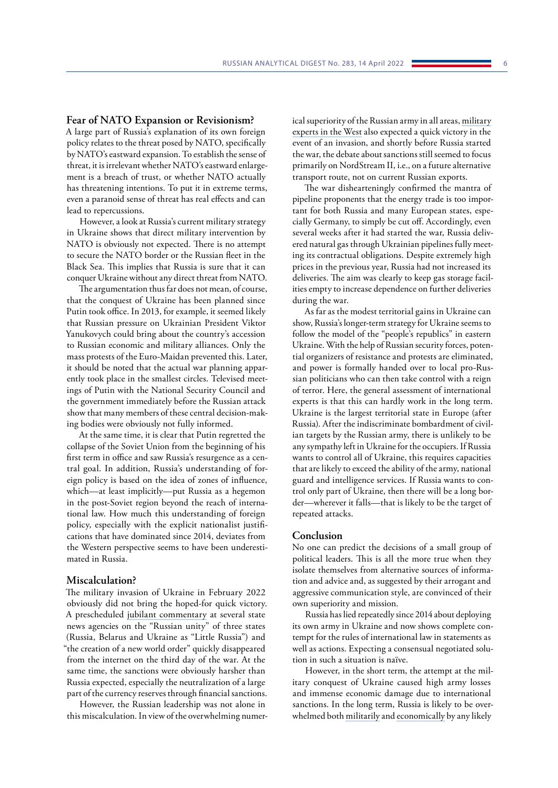#### **Fear of NATO Expansion or Revisionism?**

A large part of Russia's explanation of its own foreign policy relates to the threat posed by NATO, specifically by NATO's eastward expansion. To establish the sense of threat, it is irrelevant whether NATO's eastward enlargement is a breach of trust, or whether NATO actually has threatening intentions. To put it in extreme terms, even a paranoid sense of threat has real effects and can lead to repercussions.

However, a look at Russia's current military strategy in Ukraine shows that direct military intervention by NATO is obviously not expected. There is no attempt to secure the NATO border or the Russian fleet in the Black Sea. This implies that Russia is sure that it can conquer Ukraine without any direct threat from NATO.

The argumentation thus far does not mean, of course, that the conquest of Ukraine has been planned since Putin took office. In 2013, for example, it seemed likely that Russian pressure on Ukrainian President Viktor Yanukovych could bring about the country's accession to Russian economic and military alliances. Only the mass protests of the Euro-Maidan prevented this. Later, it should be noted that the actual war planning apparently took place in the smallest circles. Televised meetings of Putin with the National Security Council and the government immediately before the Russian attack show that many members of these central decision-making bodies were obviously not fully informed.

At the same time, it is clear that Putin regretted the collapse of the Soviet Union from the beginning of his first term in office and saw Russia's resurgence as a central goal. In addition, Russia's understanding of foreign policy is based on the idea of zones of influence, which—at least implicitly—put Russia as a hegemon in the post-Soviet region beyond the reach of international law. How much this understanding of foreign policy, especially with the explicit nationalist justifications that have dominated since 2014, deviates from the Western perspective seems to have been underestimated in Russia.

#### **Miscalculation?**

The military invasion of Ukraine in February 2022 obviously did not bring the hoped-for quick victory. A prescheduled [jubilant commentary](https://web.archive.org/web/20220226051154/https:/ria.ru/20220226/rossiya-1775162336.html) at several state news agencies on the "Russian unity" of three states (Russia, Belarus and Ukraine as "Little Russia") and "the creation of a new world order" quickly disappeared from the internet on the third day of the war. At the same time, the sanctions were obviously harsher than Russia expected, especially the neutralization of a large part of the currency reserves through financial sanctions.

However, the Russian leadership was not alone in this miscalculation. In view of the overwhelming numerical superiority of the Russian army in all areas, [military](https://edition.cnn.com/2022/02/25/europe/russia-ukraine-military-comparison-intl/index.html) [experts in the West](https://edition.cnn.com/2022/02/25/europe/russia-ukraine-military-comparison-intl/index.html) also expected a quick victory in the event of an invasion, and shortly before Russia started the war, the debate about sanctions still seemed to focus primarily on NordStream II, i.e., on a future alternative transport route, not on current Russian exports.

The war dishearteningly confirmed the mantra of pipeline proponents that the energy trade is too important for both Russia and many European states, especially Germany, to simply be cut off. Accordingly, even several weeks after it had started the war, Russia delivered natural gas through Ukrainian pipelines fully meeting its contractual obligations. Despite extremely high prices in the previous year, Russia had not increased its deliveries. The aim was clearly to keep gas storage facilities empty to increase dependence on further deliveries during the war.

As far as the modest territorial gains in Ukraine can show, Russia's longer-term strategy for Ukraine seems to follow the model of the "people's republics" in eastern Ukraine. With the help of Russian security forces, potential organizers of resistance and protests are eliminated, and power is formally handed over to local pro-Russian politicians who can then take control with a reign of terror. Here, the general assessment of international experts is that this can hardly work in the long term. Ukraine is the largest territorial state in Europe (after Russia). After the indiscriminate bombardment of civilian targets by the Russian army, there is unlikely to be any sympathy left in Ukraine for the occupiers. If Russia wants to control all of Ukraine, this requires capacities that are likely to exceed the ability of the army, national guard and intelligence services. If Russia wants to control only part of Ukraine, then there will be a long border—wherever it falls—that is likely to be the target of repeated attacks.

#### **Conclusion**

No one can predict the decisions of a small group of political leaders. This is all the more true when they isolate themselves from alternative sources of information and advice and, as suggested by their arrogant and aggressive communication style, are convinced of their own superiority and mission.

Russia has lied repeatedly since 2014 about deploying its own army in Ukraine and now shows complete contempt for the rules of international law in statements as well as actions. Expecting a consensual negotiated solution in such a situation is naïve.

However, in the short term, the attempt at the military conquest of Ukraine caused high army losses and immense economic damage due to international sanctions. In the long term, Russia is likely to be overwhelmed both [militarily](https://www.understandingwar.org/backgrounder/russian-offensive-campaign-assessment-march-19) and [economically](https://css.ethz.ch/en/publications/rad/details.html?id=/n/o/2/8/no_280_sanctions_against_russia_russias_) by any likely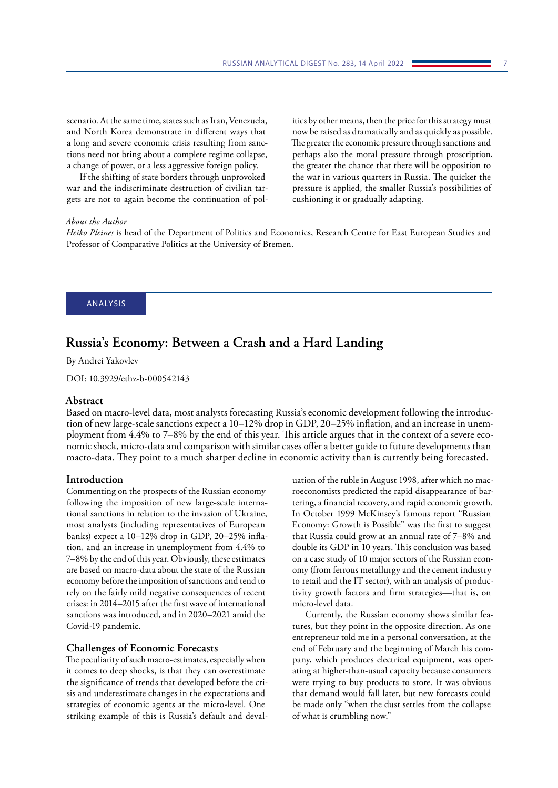<span id="page-6-0"></span>scenario. At the same time, states such as Iran, Venezuela, and North Korea demonstrate in different ways that a long and severe economic crisis resulting from sanctions need not bring about a complete regime collapse, a change of power, or a less aggressive foreign policy.

If the shifting of state borders through unprovoked war and the indiscriminate destruction of civilian targets are not to again become the continuation of politics by other means, then the price for this strategy must now be raised as dramatically and as quickly as possible. The greater the economic pressure through sanctions and perhaps also the moral pressure through proscription, the greater the chance that there will be opposition to the war in various quarters in Russia. The quicker the pressure is applied, the smaller Russia's possibilities of cushioning it or gradually adapting.

## *About the Author*

*Heiko Pleines* is head of the Department of Politics and Economics, Research Centre for East European Studies and Professor of Comparative Politics at the University of Bremen.

## ANALYSIS

## **Russia's Economy: Between a Crash and a Hard Landing**

By Andrei Yakovlev

DOI: 10.3929/ethz-b-000542143

#### **Abstract**

Based on macro-level data, most analysts forecasting Russia's economic development following the introduction of new large-scale sanctions expect a 10–12% drop in GDP, 20–25% inflation, and an increase in unemployment from 4.4% to 7–8% by the end of this year. This article argues that in the context of a severe economic shock, micro-data and comparison with similar cases offer a better guide to future developments than macro-data. They point to a much sharper decline in economic activity than is currently being forecasted.

#### **Introduction**

Commenting on the prospects of the Russian economy following the imposition of new large-scale international sanctions in relation to the invasion of Ukraine, most analysts (including representatives of European banks) expect a 10–12% drop in GDP, 20–25% inflation, and an increase in unemployment from 4.4% to 7–8% by the end of this year. Obviously, these estimates are based on macro-data about the state of the Russian economy before the imposition of sanctions and tend to rely on the fairly mild negative consequences of recent crises: in 2014–2015 after the first wave of international sanctions was introduced, and in 2020–2021 amid the Covid-19 pandemic.

#### **Challenges of Economic Forecasts**

The peculiarity of such macro-estimates, especially when it comes to deep shocks, is that they can overestimate the significance of trends that developed before the crisis and underestimate changes in the expectations and strategies of economic agents at the micro-level. One striking example of this is Russia's default and devaluation of the ruble in August 1998, after which no macroeconomists predicted the rapid disappearance of bartering, a financial recovery, and rapid economic growth. In October 1999 McKinsey's famous report "Russian Economy: Growth is Possible" was the first to suggest that Russia could grow at an annual rate of 7–8% and double its GDP in 10 years. This conclusion was based on a case study of 10 major sectors of the Russian economy (from ferrous metallurgy and the cement industry to retail and the IT sector), with an analysis of productivity growth factors and firm strategies—that is, on micro-level data.

Currently, the Russian economy shows similar features, but they point in the opposite direction. As one entrepreneur told me in a personal conversation, at the end of February and the beginning of March his company, which produces electrical equipment, was operating at higher-than-usual capacity because consumers were trying to buy products to store. It was obvious that demand would fall later, but new forecasts could be made only "when the dust settles from the collapse of what is crumbling now."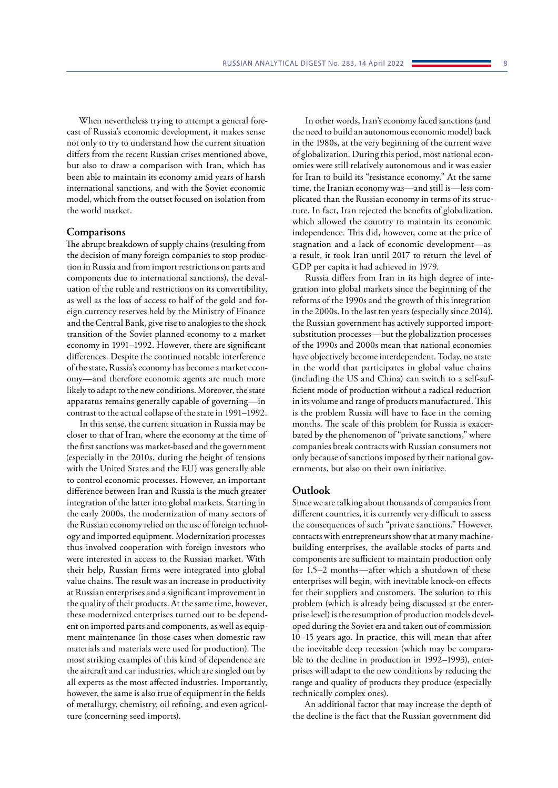When nevertheless trying to attempt a general forecast of Russia's economic development, it makes sense not only to try to understand how the current situation differs from the recent Russian crises mentioned above, but also to draw a comparison with Iran, which has been able to maintain its economy amid years of harsh international sanctions, and with the Soviet economic model, which from the outset focused on isolation from the world market.

#### **Comparisons**

The abrupt breakdown of supply chains (resulting from the decision of many foreign companies to stop production in Russia and from import restrictions on parts and components due to international sanctions), the devaluation of the ruble and restrictions on its convertibility, as well as the loss of access to half of the gold and foreign currency reserves held by the Ministry of Finance and the Central Bank, give rise to analogies to the shock transition of the Soviet planned economy to a market economy in 1991–1992. However, there are significant differences. Despite the continued notable interference of the state, Russia's economy has become a market economy—and therefore economic agents are much more likely to adapt to the new conditions. Moreover, the state apparatus remains generally capable of governing—in contrast to the actual collapse of the state in 1991–1992.

In this sense, the current situation in Russia may be closer to that of Iran, where the economy at the time of the first sanctions was market-based and the government (especially in the 2010s, during the height of tensions with the United States and the EU) was generally able to control economic processes. However, an important difference between Iran and Russia is the much greater integration of the latter into global markets. Starting in the early 2000s, the modernization of many sectors of the Russian economy relied on the use of foreign technology and imported equipment. Modernization processes thus involved cooperation with foreign investors who were interested in access to the Russian market. With their help, Russian firms were integrated into global value chains. The result was an increase in productivity at Russian enterprises and a significant improvement in the quality of their products. At the same time, however, these modernized enterprises turned out to be dependent on imported parts and components, as well as equipment maintenance (in those cases when domestic raw materials and materials were used for production). The most striking examples of this kind of dependence are the aircraft and car industries, which are singled out by all experts as the most affected industries. Importantly, however, the same is also true of equipment in the fields of metallurgy, chemistry, oil refining, and even agriculture (concerning seed imports).

In other words, Iran's economy faced sanctions (and the need to build an autonomous economic model) back in the 1980s, at the very beginning of the current wave of globalization. During this period, most national economies were still relatively autonomous and it was easier for Iran to build its "resistance economy." At the same time, the Iranian economy was—and still is—less complicated than the Russian economy in terms of its structure. In fact, Iran rejected the benefits of globalization, which allowed the country to maintain its economic independence. This did, however, come at the price of stagnation and a lack of economic development—as a result, it took Iran until 2017 to return the level of GDP per capita it had achieved in 1979.

Russia differs from Iran in its high degree of integration into global markets since the beginning of the reforms of the 1990s and the growth of this integration in the 2000s. In the last ten years (especially since 2014), the Russian government has actively supported importsubstitution processes—but the globalization processes of the 1990s and 2000s mean that national economies have objectively become interdependent. Today, no state in the world that participates in global value chains (including the US and China) can switch to a self-sufficient mode of production without a radical reduction in its volume and range of products manufactured. This is the problem Russia will have to face in the coming months. The scale of this problem for Russia is exacerbated by the phenomenon of "private sanctions," where companies break contracts with Russian consumers not only because of sanctions imposed by their national governments, but also on their own initiative.

#### **Outlook**

Since we are talking about thousands of companies from different countries, it is currently very difficult to assess the consequences of such "private sanctions." However, contacts with entrepreneurs show that at many machinebuilding enterprises, the available stocks of parts and components are sufficient to maintain production only for 1.5–2 months—after which a shutdown of these enterprises will begin, with inevitable knock-on effects for their suppliers and customers. The solution to this problem (which is already being discussed at the enterprise level) is the resumption of production models developed during the Soviet era and taken out of commission 10–15 years ago. In practice, this will mean that after the inevitable deep recession (which may be comparable to the decline in production in 1992–1993), enterprises will adapt to the new conditions by reducing the range and quality of products they produce (especially technically complex ones).

An additional factor that may increase the depth of the decline is the fact that the Russian government did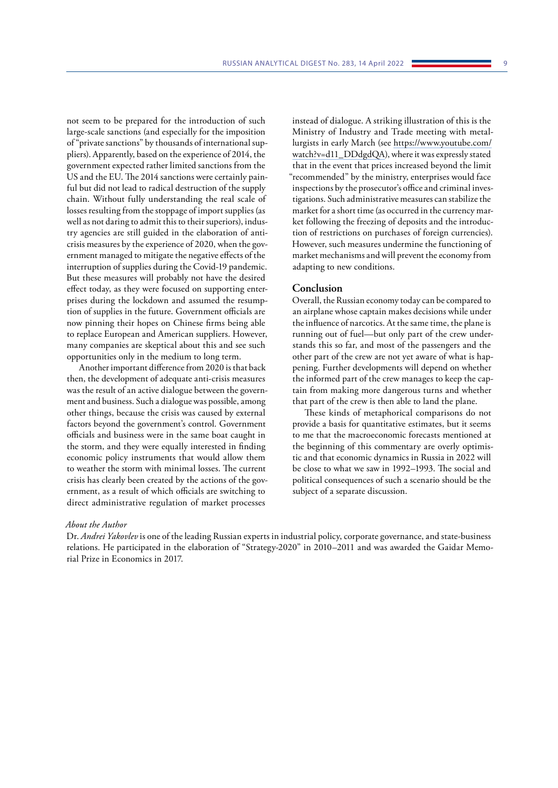not seem to be prepared for the introduction of such large-scale sanctions (and especially for the imposition of "private sanctions" by thousands of international suppliers). Apparently, based on the experience of 2014, the government expected rather limited sanctions from the US and the EU. The 2014 sanctions were certainly painful but did not lead to radical destruction of the supply chain. Without fully understanding the real scale of losses resulting from the stoppage of import supplies (as well as not daring to admit this to their superiors), industry agencies are still guided in the elaboration of anticrisis measures by the experience of 2020, when the government managed to mitigate the negative effects of the interruption of supplies during the Covid-19 pandemic. But these measures will probably not have the desired effect today, as they were focused on supporting enterprises during the lockdown and assumed the resumption of supplies in the future. Government officials are now pinning their hopes on Chinese firms being able to replace European and American suppliers. However, many companies are skeptical about this and see such opportunities only in the medium to long term.

Another important difference from 2020 is that back then, the development of adequate anti-crisis measures was the result of an active dialogue between the government and business. Such a dialogue was possible, among other things, because the crisis was caused by external factors beyond the government's control. Government officials and business were in the same boat caught in the storm, and they were equally interested in finding economic policy instruments that would allow them to weather the storm with minimal losses. The current crisis has clearly been created by the actions of the government, as a result of which officials are switching to direct administrative regulation of market processes

instead of dialogue. A striking illustration of this is the Ministry of Industry and Trade meeting with metallurgists in early March (see [https://www.youtube.com/](https://www.youtube.com/watch?v=d11_DDdgdQA) [watch?v=d11\\_DDdgdQA\)](https://www.youtube.com/watch?v=d11_DDdgdQA), where it was expressly stated that in the event that prices increased beyond the limit "recommended" by the ministry, enterprises would face inspections by the prosecutor's office and criminal investigations. Such administrative measures can stabilize the market for a short time (as occurred in the currency market following the freezing of deposits and the introduction of restrictions on purchases of foreign currencies). However, such measures undermine the functioning of market mechanisms and will prevent the economy from adapting to new conditions.

#### **Conclusion**

Overall, the Russian economy today can be compared to an airplane whose captain makes decisions while under the influence of narcotics. At the same time, the plane is running out of fuel—but only part of the crew understands this so far, and most of the passengers and the other part of the crew are not yet aware of what is happening. Further developments will depend on whether the informed part of the crew manages to keep the captain from making more dangerous turns and whether that part of the crew is then able to land the plane.

These kinds of metaphorical comparisons do not provide a basis for quantitative estimates, but it seems to me that the macroeconomic forecasts mentioned at the beginning of this commentary are overly optimistic and that economic dynamics in Russia in 2022 will be close to what we saw in 1992–1993. The social and political consequences of such a scenario should be the subject of a separate discussion.

#### *About the Author*

Dr. *Andrei Yakovlev* is one of the leading Russian experts in industrial policy, corporate governance, and state-business relations. He participated in the elaboration of "Strategy-2020" in 2010–2011 and was awarded the Gaidar Memorial Prize in Economics in 2017.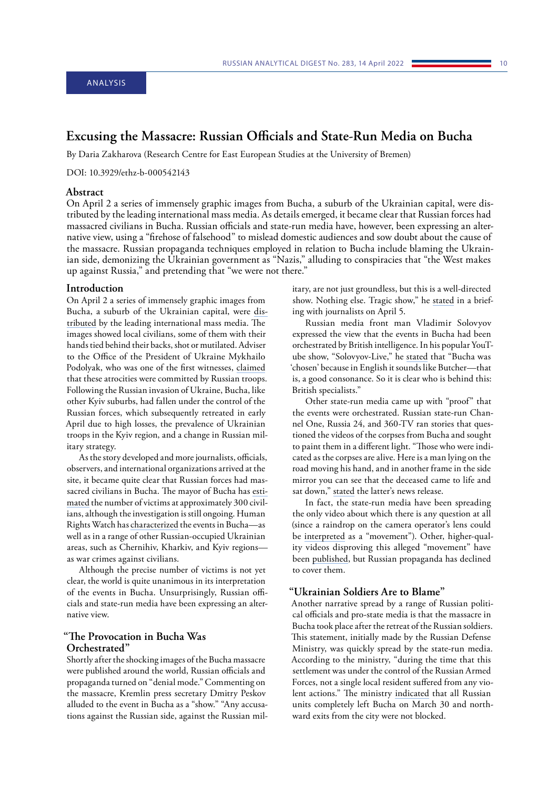## <span id="page-9-0"></span>**Excusing the Massacre: Russian Officials and State-Run Media on Bucha**

By Daria Zakharova (Research Centre for East European Studies at the University of Bremen)

DOI: 10.3929/ethz-b-000542143

## **Abstract**

On April 2 a series of immensely graphic images from Bucha, a suburb of the Ukrainian capital, were distributed by the leading international mass media. As details emerged, it became clear that Russian forces had massacred civilians in Bucha. Russian officials and state-run media have, however, been expressing an alternative view, using a "firehose of falsehood" to mislead domestic audiences and sow doubt about the cause of the massacre. Russian propaganda techniques employed in relation to Bucha include blaming the Ukrainian side, demonizing the Ukrainian government as "Nazis," alluding to conspiracies that "the West makes up against Russia," and pretending that "we were not there."

#### **Introduction**

On April 2 a series of immensely graphic images from Bucha, a suburb of the Ukrainian capital, were [dis](https://www.france24.com/en/live-news/20220402-bodies-litter-ukraine-town-s-street-of-death)[tributed](https://www.france24.com/en/live-news/20220402-bodies-litter-ukraine-town-s-street-of-death) by the leading international mass media. The images showed local civilians, some of them with their hands tied behind their backs, shot or mutilated. Adviser to the Office of the President of Ukraine Mykhailo Podolyak, who was one of the first witnesses, [claimed](https://twitter.com/Podolyak_M/status/1510515954270322689?cxt=HHwWgoC-nbyQt_YpAAAA) that these atrocities were committed by Russian troops. Following the Russian invasion of Ukraine, Bucha, like other Kyiv suburbs, had fallen under the control of the Russian forces, which subsequently retreated in early April due to high losses, the prevalence of Ukrainian troops in the Kyiv region, and a change in Russian military strategy.

As the story developed and more journalists, officials, observers, and international organizations arrived at the site, it became quite clear that Russian forces had massacred civilians in Bucha. The mayor of Bucha has [esti](https://www.bbc.com/news/world-europe-61003878)[mated](https://www.bbc.com/news/world-europe-61003878) the number of victims at approximately 300 civilians, although the investigation is still ongoing. Human Rights Watch has [characterized](https://www.hrw.org/news/2022/04/03/ukraine-apparent-war-crimes-russia-controlled-areas) the events in Bucha—as well as in a range of other Russian-occupied Ukrainian areas, such as Chernihiv, Kharkiv, and Kyiv regions as war crimes against civilians.

Although the precise number of victims is not yet clear, the world is quite unanimous in its interpretation of the events in Bucha. Unsurprisingly, Russian officials and state-run media have been expressing an alternative view.

## **"The Provocation in Bucha Was Orchestrated"**

Shortly after the shocking images of the Bucha massacre were published around the world, Russian officials and propaganda turned on "denial mode." Commenting on the massacre, Kremlin press secretary Dmitry Peskov alluded to the event in Bucha as a "show." "Any accusations against the Russian side, against the Russian military, are not just groundless, but this is a well-directed show. Nothing else. Tragic show," he [stated](https://ria.ru/20220405/bucha-1781890685.html) in a briefing with journalists on April 5.

Russian media front man Vladimir Solovyov expressed the view that the events in Bucha had been orchestrated by British intelligence. In his popular YouTube show, "Solovyov-Live," he [stated](https://twitter.com/nexta_tv/status/1511259250156261379?ref_src=twsrc%5Etfw%7Ctwcamp%5Etweetembed%7Ctwterm%5E1511259250156261379%7Ctwgr%5E%7Ctwcon%5Es1_&ref_url=https%3A%2F%2Fmignews.com%2Fnews%2Fukraine%2Flingvist-vladimir-solovev-reznya-v-buche-rabota-britanskoj-razvedki.html%3Futm_source%3Dyxnewsutm_medium%3Ddesktoputm_referrer%3Dhttps3A2F2Fyandex.ru2Fnews2Fsearch3Ftext3D) that "Bucha was 'chosen' because in English it sounds like Butcher—that is, a good consonance. So it is clear who is behind this: British specialists."

Other state-run media came up with "proof" that the events were orchestrated. Russian state-run Channel One, Russia 24, and 360-TV ran stories that questioned the videos of the corpses from Bucha and sought to paint them in a different light. "Those who were indicated as the corpses are alive. Here is a man lying on the road moving his hand, and in another frame in the side mirror you can see that the deceased came to life and sat down," [stated](https://rutube.ru/video/452b3bf1d85ef267408012ecbc17a82a/) the latter's news release.

In fact, the state-run media have been spreading the only video about which there is any question at all (since a raindrop on the camera operator's lens could be [interpreted](https://twitter.com/litavrinm/status/1510543573191729152) as a "movement"). Other, higher-quality videos disproving this alleged "movement" have been [published,](https://twitter.com/BenDoBrown/status/1510924491412721666?ref_src=twsrc%5Etfw%7Ctwcamp%5Etweetembed%7Ctwterm%5E1510924491412721666%7Ctwgr%5E%7Ctwcon%5Es1_&ref_url=https%3A%2F%2Fwww.bellingcat.com%2Fnews%2F2022%2F04%2F04%2Frussias-bucha-facts-versus-the-evidence%2F) but Russian propaganda has declined to cover them.

## **"Ukrainian Soldiers Are to Blame"**

Another narrative spread by a range of Russian political officials and pro-state media is that the massacre in Bucha took place after the retreat of the Russian soldiers. This statement, initially made by the Russian Defense Ministry, was quickly spread by the state-run media. According to the ministry, "during the time that this settlement was under the control of the Russian Armed Forces, not a single local resident suffered from any violent actions." The ministry [indicated](https://ria.ru/20220405/bucha-1781855396.html) that all Russian units completely left Bucha on March 30 and northward exits from the city were not blocked.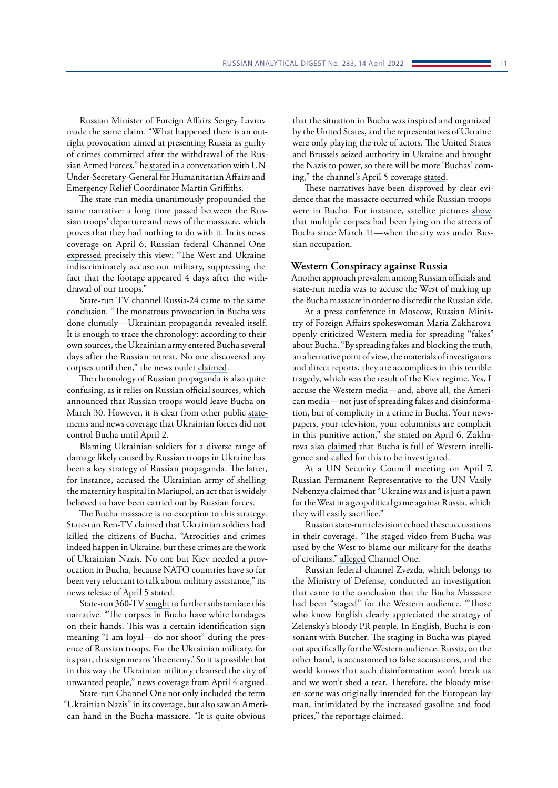Russian Minister of Foreign Affairs Sergey Lavrov made the same claim. "What happened there is an outright provocation aimed at presenting Russia as guilty of crimes committed after the withdrawal of the Russian Armed Forces," he [stated](https://ria.ru/20220405/bucha-1781855396.html) in a conversation with UN Under-Secretary-General for Humanitarian Affairs and Emergency Relief Coordinator Martin Griffiths.

The state-run media unanimously propounded the same narrative: a long time passed between the Russian troops' departure and news of the massacre, which proves that they had nothing to do with it. In its news coverage on April 6, Russian federal Channel One [expressed](https://rutube.ru/video/0a31e8ac1f62c0f867f22cd90d00cfb1/) precisely this view: "The West and Ukraine indiscriminately accuse our military, suppressing the fact that the footage appeared 4 days after the withdrawal of our troops."

State-run TV channel Russia-24 came to the same conclusion. "The monstrous provocation in Bucha was done clumsily—Ukrainian propaganda revealed itself. It is enough to trace the chronology: according to their own sources, the Ukrainian army entered Bucha several days after the Russian retreat. No one discovered any corpses until then," the news outlet [claimed](https://rutube.ru/video/b23a6f696711f07691848b49d0a818ec/).

The chronology of Russian propaganda is also quite confusing, as it relies on Russian official sources, which announced that Russian troops would leave Bucha on March 30. However, it is clear from other public [state](https://t.me/News380/7839)[ments](https://t.me/News380/7839) and [news coverage](https://tvzvezda.ru/news/20224151-KMqbZ.html) that Ukrainian forces did not control Bucha until April 2.

Blaming Ukrainian soldiers for a diverse range of damage likely caused by Russian troops in Ukraine has been a key strategy of Russian propaganda. The latter, for instance, accused the Ukrainian army of [shelling](https://ria.ru/20220310/roddom-1777556342.html) the maternity hospital in Mariupol, an act that is widely believed to have been carried out by Russian forces.

The Bucha massacre is no exception to this strategy. State-run Ren-TV [claimed](https://rutube.ru/video/9514127866657037cc3522dd1c03e08d/) that Ukrainian soldiers had killed the citizens of Bucha. "Atrocities and crimes indeed happen in Ukraine, but these crimes are the work of Ukrainian Nazis. No one but Kiev needed a provocation in Bucha, because NATO countries have so far been very reluctant to talk about military assistance," its news release of April 5 stated.

State-run 360-TV [sought](https://rutube.ru/video/452b3bf1d85ef267408012ecbc17a82a/) to further substantiate this narrative. "The corpses in Bucha have white bandages on their hands. This was a certain identification sign meaning "I am loyal—do not shoot" during the presence of Russian troops. For the Ukrainian military, for its part, this sign means 'the enemy.' So it is possible that in this way the Ukrainian military cleansed the city of unwanted people," news coverage from April 4 argued.

State-run Channel One not only included the term "Ukrainian Nazis" in its coverage, but also saw an American hand in the Bucha massacre. "It is quite obvious

that the situation in Bucha was inspired and organized by the United States, and the representatives of Ukraine were only playing the role of actors. The United States and Brussels seized authority in Ukraine and brought the Nazis to power, so there will be more 'Buchas' coming," the channel's April 5 coverage [stated.](https://rutube.ru/video/0a31e8ac1f62c0f867f22cd90d00cfb1/)

These narratives have been disproved by clear evidence that the massacre occurred while Russian troops were in Bucha. For instance, satellite pictures [show](https://www.nytimes.com/2022/04/04/world/europe/bucha-ukraine-bodies.html) that multiple corpses had been lying on the streets of Bucha since March 11—when the city was under Russian occupation.

#### **Western Conspiracy against Russia**

Another approach prevalent among Russian officials and state-run media was to accuse the West of making up the Bucha massacre in order to discredit the Russian side.

At a press conference in Moscow, Russian Ministry of Foreign Affairs spokeswoman Maria Zakharova openly [criticized](https://rutube.ru/video/c629f06765374b5d8de5795668da33cd/) Western media for spreading "fakes" about Bucha. "By spreading fakes and blocking the truth, an alternative point of view, the materials of investigators and direct reports, they are accomplices in this terrible tragedy, which was the result of the Kiev regime. Yes, I accuse the Western media—and, above all, the American media—not just of spreading fakes and disinformation, but of complicity in a crime in Bucha. Your newspapers, your television, your columnists are complicit in this punitive action," she stated on April 6. Zakharova also [claimed](https://ria.ru/20220406/bucha-1782128705.html) that Bucha is full of Western intelligence and called for this to be investigated.

At a UN Security Council meeting on April 7, Russian Permanent Representative to the UN Vasily Nebenzya [claimed](https://iz.ru/1315996/ekaterina-tiunina/nad-propastiu-vo-lzhi-s-chego-nachinalas-bucha?utm_source=yxnews&utm_medium=mobile&utm_referrer=https%3A%2F%2Fyandex.ru%2Fnews%2Fsearch%3Ftext%3D) that "Ukraine was and is just a pawn for the West in a geopolitical game against Russia, which they will easily sacrifice."

Russian state-run television echoed these accusations in their coverage. "The staged video from Bucha was used by the West to blame our military for the deaths of civilians," [alleged](https://rutube.ru/video/f21f41ce7e854a187595a116f362b47f/) Channel One.

Russian federal channel Zvezda, which belongs to the Ministry of Defense, [conducted](https://rutube.ru/video/1b99bde57272debd56d08d6965367600/) an investigation that came to the conclusion that the Bucha Massacre had been "staged" for the Western audience. "Those who know English clearly appreciated the strategy of Zelensky's bloody PR people. In English, Bucha is consonant with Butcher. The staging in Bucha was played out specifically for the Western audience. Russia, on the other hand, is accustomed to false accusations, and the world knows that such disinformation won't break us and we won't shed a tear. Therefore, the bloody miseen-scene was originally intended for the European layman, intimidated by the increased gasoline and food prices," the reportage claimed.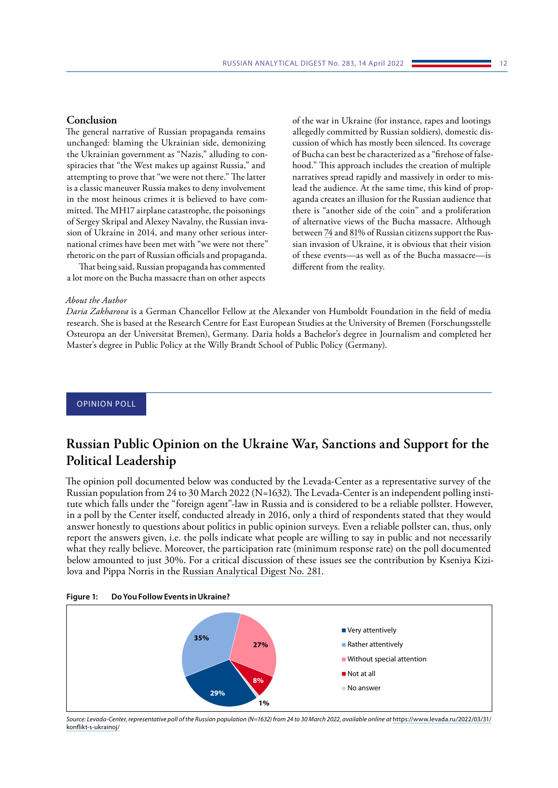### <span id="page-11-0"></span>**Conclusion**

The general narrative of Russian propaganda remains unchanged: blaming the Ukrainian side, demonizing the Ukrainian government as "Nazis," alluding to conspiracies that "the West makes up against Russia," and attempting to prove that "we were not there." The latter is a classic maneuver Russia makes to deny involvement in the most heinous crimes it is believed to have committed. The MH17 airplane catastrophe, the poisonings of Sergey Skripal and Alexey Navalny, the Russian invasion of Ukraine in 2014, and many other serious international crimes have been met with "we were not there" rhetoric on the part of Russian officials and propaganda.

That being said, Russian propaganda has commented a lot more on the Bucha massacre than on other aspects

of the war in Ukraine (for instance, rapes and lootings allegedly committed by Russian soldiers), domestic discussion of which has mostly been silenced. Its coverage of Bucha can best be characterized as a "firehose of falsehood." This approach includes the creation of multiple narratives spread rapidly and massively in order to mislead the audience. At the same time, this kind of propaganda creates an illusion for the Russian audience that there is "another side of the coin" and a proliferation of alternative views of the Bucha massacre. Although between [74](https://wciom.ru/analytical-reviews/analiticheskii-obzor/specialnaja-voennaja-operacija-monitoring) and [81%](https://www.levada.ru/2022/03/31/konflikt-s-ukrainoj/) of Russian citizens support the Russian invasion of Ukraine, it is obvious that their vision of these events—as well as of the Bucha massacre—is different from the reality.

#### *About the Author*

*Daria Zakharova* is a German Chancellor Fellow at the Alexander von Humboldt Foundation in the field of media research. She is based at the Research Centre for East European Studies at the University of Bremen (Forschungsstelle Osteuropa an der Universitat Bremen), Germany. Daria holds a Bachelor's degree in Journalism and completed her Master's degree in Public Policy at the Willy Brandt School of Public Policy (Germany).

## OPINION POLL

# **Russian Public Opinion on the Ukraine War, Sanctions and Support for the Political Leadership**

The opinion poll documented below was conducted by the Levada-Center as a representative survey of the Russian population from 24 to 30 March 2022 (N=1632). The Levada-Center is an independent polling institute which falls under the "foreign agent"-law in Russia and is considered to be a reliable pollster. However, in a poll by the Center itself, conducted already in 2016, only a third of respondents stated that they would answer honestly to questions about politics in public opinion surveys. Even a reliable pollster can, thus, only report the answers given, i.e. the polls indicate what people are willing to say in public and not necessarily what they really believe. Moreover, the participation rate (minimum response rate) on the poll documented below amounted to just 30%. For a critical discussion of these issues see the contribution by Kseniya Kizilova and Pippa Norris in the [Russian Analytical Digest No. 281](https://css.ethz.ch/en/publications/rad/details.html?id=/n/o/2/8/no_281_political_regime_stability__unive).





*Source: Levada-Center, representative poll of the Russian population (N=1632) from 24 to 30 March 2022, available online at* [https://www.levada.ru/2022/03/31/](https://www.levada.ru/2022/03/31/konflikt-s-ukrainoj/) [konflikt-s-ukrainoj/](https://www.levada.ru/2022/03/31/konflikt-s-ukrainoj/)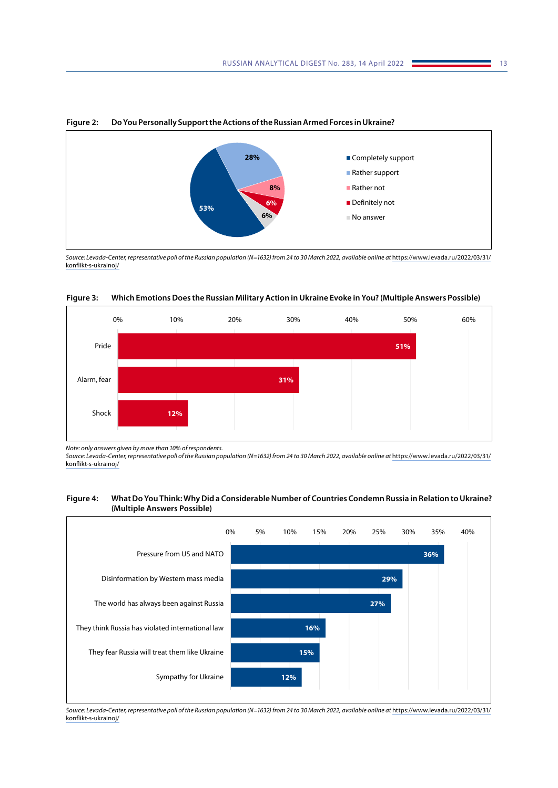

**Figure 2: Do You Personally Support the Actions of the Russian Armed Forces in Ukraine?**

*Source: Levada-Center, representative poll of the Russian population (N=1632) from 24 to 30 March 2022, available online at* [https://www.levada.ru/2022/03/31/](https://www.levada.ru/2022/03/31/konflikt-s-ukrainoj/) [konflikt-s-ukrainoj/](https://www.levada.ru/2022/03/31/konflikt-s-ukrainoj/)



**Figure 3: Which Emotions Does the Russian Military Action in Ukraine Evoke in You? (Multiple Answers Possible)**

*Note: only answers given by more than 10% of respondents.*

Source: Levada-Center, representative poll of the Russian population (N=1632) from 24 to 30 March 2022, available online at [https://www.levada.ru/2022/03/31/](https://www.levada.ru/2022/03/31/konflikt-s-ukrainoj/) [konflikt-s-ukrainoj/](https://www.levada.ru/2022/03/31/konflikt-s-ukrainoj/)

### **Figure 4: What Do You Think: Why Did a Considerable Number of Countries Condemn Russia in Relation to Ukraine? (Multiple Answers Possible)**



*Source: Levada-Center, representative poll of the Russian population (N=1632) from 24 to 30 March 2022, available online at* [https://www.levada.ru/2022/03/31/](https://www.levada.ru/2022/03/31/konflikt-s-ukrainoj/) [konflikt-s-ukrainoj/](https://www.levada.ru/2022/03/31/konflikt-s-ukrainoj/)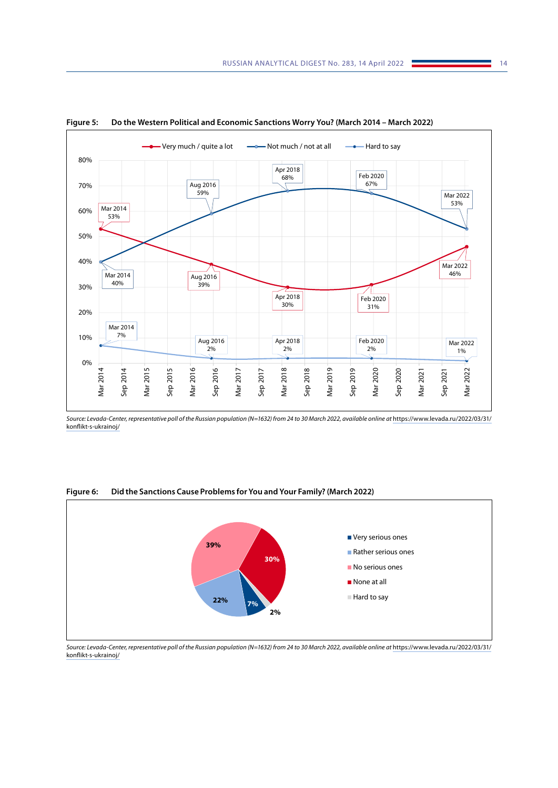

**Figure 5: Do the Western Political and Economic Sanctions Worry You? (March 2014 – March 2022)**

*Source: Levada-Center, representative poll of the Russian population (N=1632) from 24 to 30 March 2022, available online at* [https://www.levada.ru/2022/03/31/](https://www.levada.ru/2022/03/31/konflikt-s-ukrainoj/) [konflikt-s-ukrainoj/](https://www.levada.ru/2022/03/31/konflikt-s-ukrainoj/)

## **Figure 6: Did the Sanctions Cause Problems for You and Your Family? (March 2022)**



*Source: Levada-Center, representative poll of the Russian population (N=1632) from 24 to 30 March 2022, available online at* [https://www.levada.ru/2022/03/31/](https://www.levada.ru/2022/03/31/konflikt-s-ukrainoj/) [konflikt-s-ukrainoj/](https://www.levada.ru/2022/03/31/konflikt-s-ukrainoj/)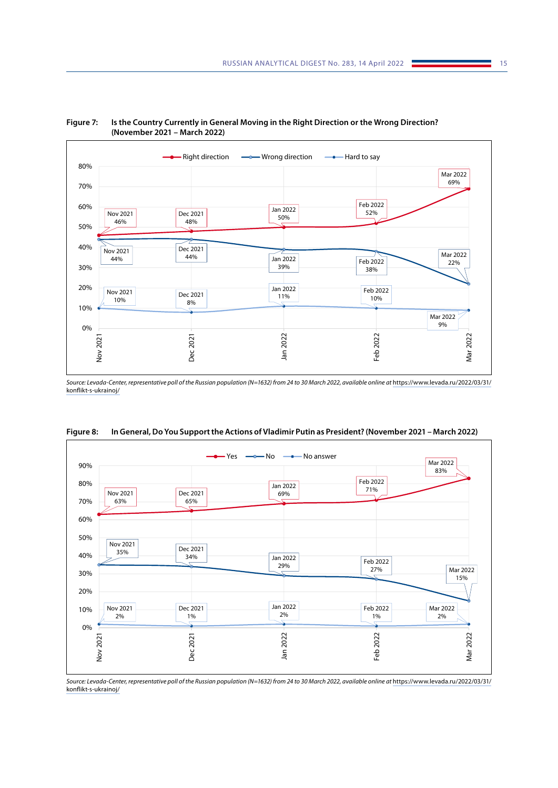



Source: Levada-Center, representative poll of the Russian population (N=1632) from 24 to 30 March 2022, available online at [https://www.levada.ru/2022/03/31/](https://www.levada.ru/2022/03/31/konflikt-s-ukrainoj/) [konflikt-s-ukrainoj/](https://www.levada.ru/2022/03/31/konflikt-s-ukrainoj/)



**Figure 8: In General, Do You Support the Actions of Vladimir Putin as President? (November 2021 – March 2022)**

Source: Levada-Center, representative poll of the Russian population (N=1632) from 24 to 30 March 2022, available online at [https://www.levada.ru/2022/03/31/](https://www.levada.ru/2022/03/31/konflikt-s-ukrainoj/) [konflikt-s-ukrainoj/](https://www.levada.ru/2022/03/31/konflikt-s-ukrainoj/)